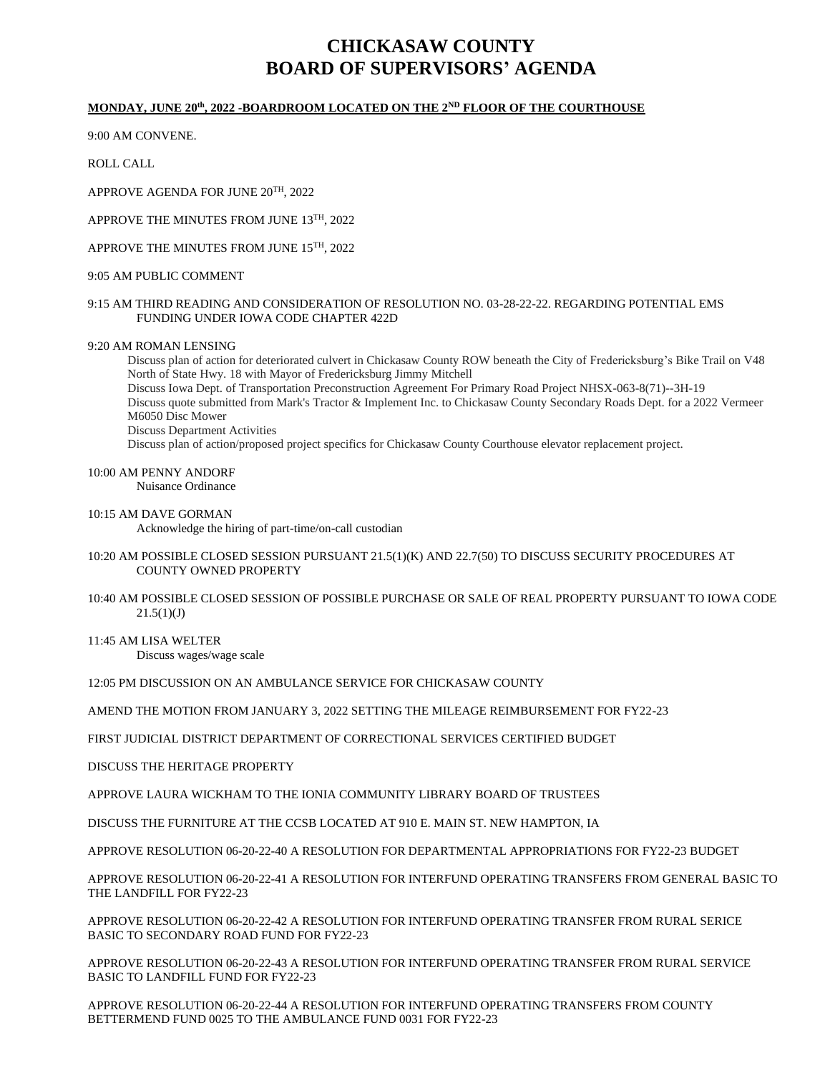# **CHICKASAW COUNTY BOARD OF SUPERVISORS' AGENDA**

## **MONDAY, JUNE 20th, 2022 -BOARDROOM LOCATED ON THE 2ND FLOOR OF THE COURTHOUSE**

9:00 AM CONVENE.

ROLL CALL

APPROVE AGENDA FOR JUNE 20TH, 2022

APPROVE THE MINUTES FROM JUNE 13TH, 2022

APPROVE THE MINUTES FROM JUNE 15TH, 2022

## 9:05 AM PUBLIC COMMENT

## 9:15 AM THIRD READING AND CONSIDERATION OF RESOLUTION NO. 03-28-22-22. REGARDING POTENTIAL EMS FUNDING UNDER IOWA CODE CHAPTER 422D

## 9:20 AM ROMAN LENSING

Discuss plan of action for deteriorated culvert in Chickasaw County ROW beneath the City of Fredericksburg's Bike Trail on V48 North of State Hwy. 18 with Mayor of Fredericksburg Jimmy Mitchell Discuss Iowa Dept. of Transportation Preconstruction Agreement For Primary Road Project NHSX-063-8(71)--3H-19 Discuss quote submitted from Mark's Tractor & Implement Inc. to Chickasaw County Secondary Roads Dept. for a 2022 Vermeer M6050 Disc Mower Discuss Department Activities Discuss plan of action/proposed project specifics for Chickasaw County Courthouse elevator replacement project.

## 10:00 AM PENNY ANDORF

Nuisance Ordinance

#### 10:15 AM DAVE GORMAN

Acknowledge the hiring of part-time/on-call custodian

- 10:20 AM POSSIBLE CLOSED SESSION PURSUANT 21.5(1)(K) AND 22.7(50) TO DISCUSS SECURITY PROCEDURES AT COUNTY OWNED PROPERTY
- 10:40 AM POSSIBLE CLOSED SESSION OF POSSIBLE PURCHASE OR SALE OF REAL PROPERTY PURSUANT TO IOWA CODE  $21.5(1)(J)$

11:45 AM LISA WELTER

Discuss wages/wage scale

12:05 PM DISCUSSION ON AN AMBULANCE SERVICE FOR CHICKASAW COUNTY

AMEND THE MOTION FROM JANUARY 3, 2022 SETTING THE MILEAGE REIMBURSEMENT FOR FY22-23

FIRST JUDICIAL DISTRICT DEPARTMENT OF CORRECTIONAL SERVICES CERTIFIED BUDGET

DISCUSS THE HERITAGE PROPERTY

APPROVE LAURA WICKHAM TO THE IONIA COMMUNITY LIBRARY BOARD OF TRUSTEES

DISCUSS THE FURNITURE AT THE CCSB LOCATED AT 910 E. MAIN ST. NEW HAMPTON, IA

APPROVE RESOLUTION 06-20-22-40 A RESOLUTION FOR DEPARTMENTAL APPROPRIATIONS FOR FY22-23 BUDGET

APPROVE RESOLUTION 06-20-22-41 A RESOLUTION FOR INTERFUND OPERATING TRANSFERS FROM GENERAL BASIC TO THE LANDFILL FOR FY22-23

APPROVE RESOLUTION 06-20-22-42 A RESOLUTION FOR INTERFUND OPERATING TRANSFER FROM RURAL SERICE BASIC TO SECONDARY ROAD FUND FOR FY22-23

APPROVE RESOLUTION 06-20-22-43 A RESOLUTION FOR INTERFUND OPERATING TRANSFER FROM RURAL SERVICE BASIC TO LANDFILL FUND FOR FY22-23

APPROVE RESOLUTION 06-20-22-44 A RESOLUTION FOR INTERFUND OPERATING TRANSFERS FROM COUNTY BETTERMEND FUND 0025 TO THE AMBULANCE FUND 0031 FOR FY22-23